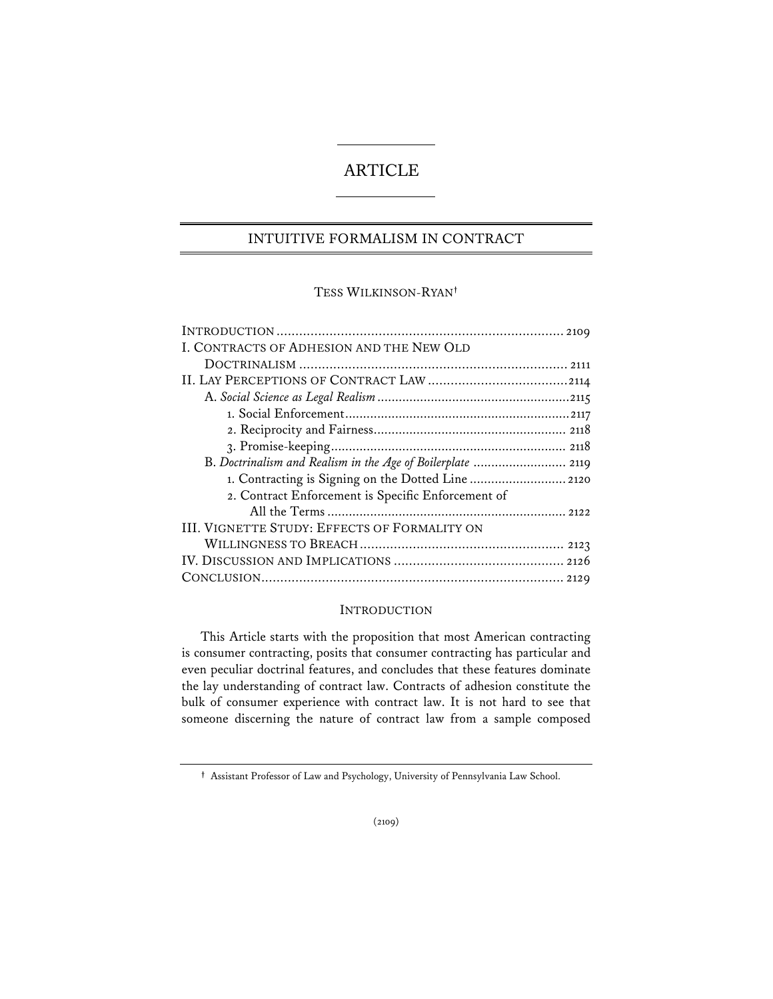# ARTICLE

# INTUITIVE FORMALISM IN CONTRACT

### TESS WILKINSON-RYAN**†**

| I. CONTRACTS OF ADHESION AND THE NEW OLD                    |  |
|-------------------------------------------------------------|--|
|                                                             |  |
|                                                             |  |
|                                                             |  |
|                                                             |  |
|                                                             |  |
|                                                             |  |
| B. Doctrinalism and Realism in the Age of Boilerplate  2119 |  |
|                                                             |  |
| 2. Contract Enforcement is Specific Enforcement of          |  |
|                                                             |  |
| <b>III. VIGNETTE STUDY: EFFECTS OF FORMALITY ON</b>         |  |
|                                                             |  |
|                                                             |  |
|                                                             |  |
|                                                             |  |

## INTRODUCTION

This Article starts with the proposition that most American contracting is consumer contracting, posits that consumer contracting has particular and even peculiar doctrinal features, and concludes that these features dominate the lay understanding of contract law. Contracts of adhesion constitute the bulk of consumer experience with contract law. It is not hard to see that someone discerning the nature of contract law from a sample composed

**<sup>†</sup>** Assistant Professor of Law and Psychology, University of Pennsylvania Law School.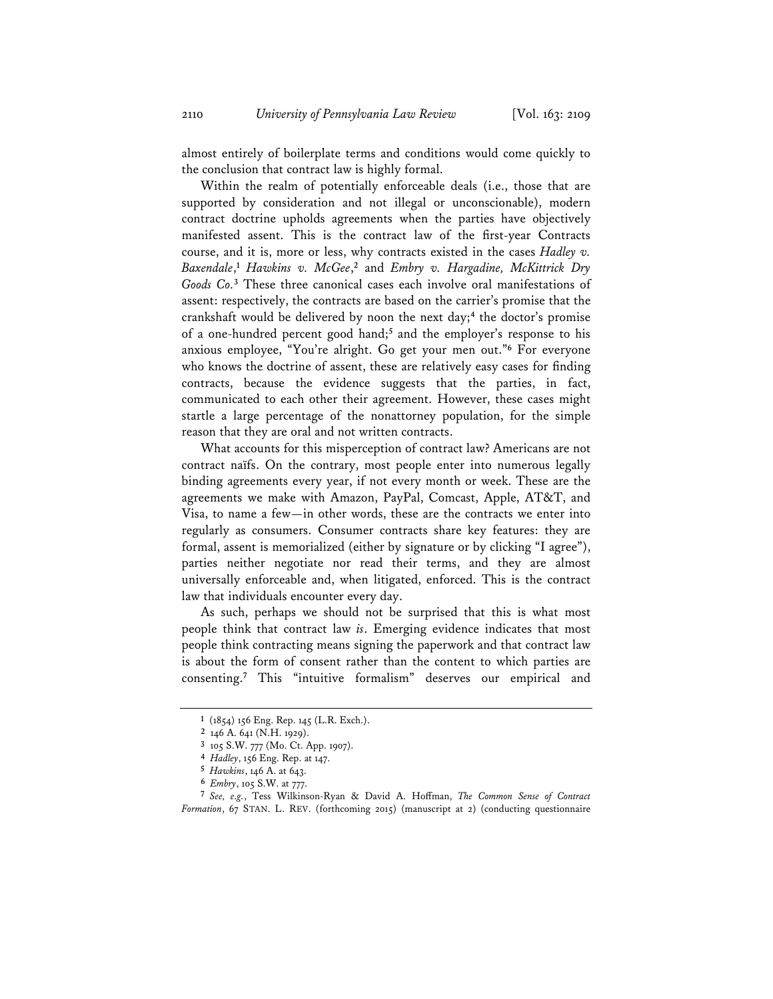almost entirely of boilerplate terms and conditions would come quickly to the conclusion that contract law is highly formal.

Within the realm of potentially enforceable deals (i.e., those that are supported by consideration and not illegal or unconscionable), modern contract doctrine upholds agreements when the parties have objectively manifested assent. This is the contract law of the first-year Contracts course, and it is, more or less, why contracts existed in the cases *Hadley v. Baxendale*, **<sup>1</sup>** *Hawkins v. McGee*, **<sup>2</sup>** and *Embry v. Hargadine, McKittrick Dry Goods Co.***<sup>3</sup>** These three canonical cases each involve oral manifestations of assent: respectively, the contracts are based on the carrier's promise that the crankshaft would be delivered by noon the next day;**<sup>4</sup>** the doctor's promise of a one-hundred percent good hand;**<sup>5</sup>** and the employer's response to his anxious employee, "You're alright. Go get your men out."**<sup>6</sup>** For everyone who knows the doctrine of assent, these are relatively easy cases for finding contracts, because the evidence suggests that the parties, in fact, communicated to each other their agreement. However, these cases might startle a large percentage of the nonattorney population, for the simple reason that they are oral and not written contracts.

What accounts for this misperception of contract law? Americans are not contract naïfs. On the contrary, most people enter into numerous legally binding agreements every year, if not every month or week. These are the agreements we make with Amazon, PayPal, Comcast, Apple, AT&T, and Visa, to name a few—in other words, these are the contracts we enter into regularly as consumers. Consumer contracts share key features: they are formal, assent is memorialized (either by signature or by clicking "I agree"), parties neither negotiate nor read their terms, and they are almost universally enforceable and, when litigated, enforced. This is the contract law that individuals encounter every day.

As such, perhaps we should not be surprised that this is what most people think that contract law *is*. Emerging evidence indicates that most people think contracting means signing the paperwork and that contract law is about the form of consent rather than the content to which parties are consenting.**<sup>7</sup>** This "intuitive formalism" deserves our empirical and

**<sup>1</sup>** (1854) 156 Eng. Rep. 145 (L.R. Exch.).

**<sup>2</sup>** 146 A. 641 (N.H. 1929).

**<sup>3</sup>** 105 S.W. 777 (Mo. Ct. App. 1907).

**<sup>4</sup>** *Hadley*, 156 Eng. Rep. at 147.

**<sup>5</sup>** *Hawkins*, 146 A. at 643.

**<sup>6</sup>** *Embry*, 105 S.W. at 777.

**<sup>7</sup>** *See, e.g.*, Tess Wilkinson-Ryan & David A. Hoffman, *The Common Sense of Contract Formation*, 67 STAN. L. REV. (forthcoming 2015) (manuscript at 2) (conducting questionnaire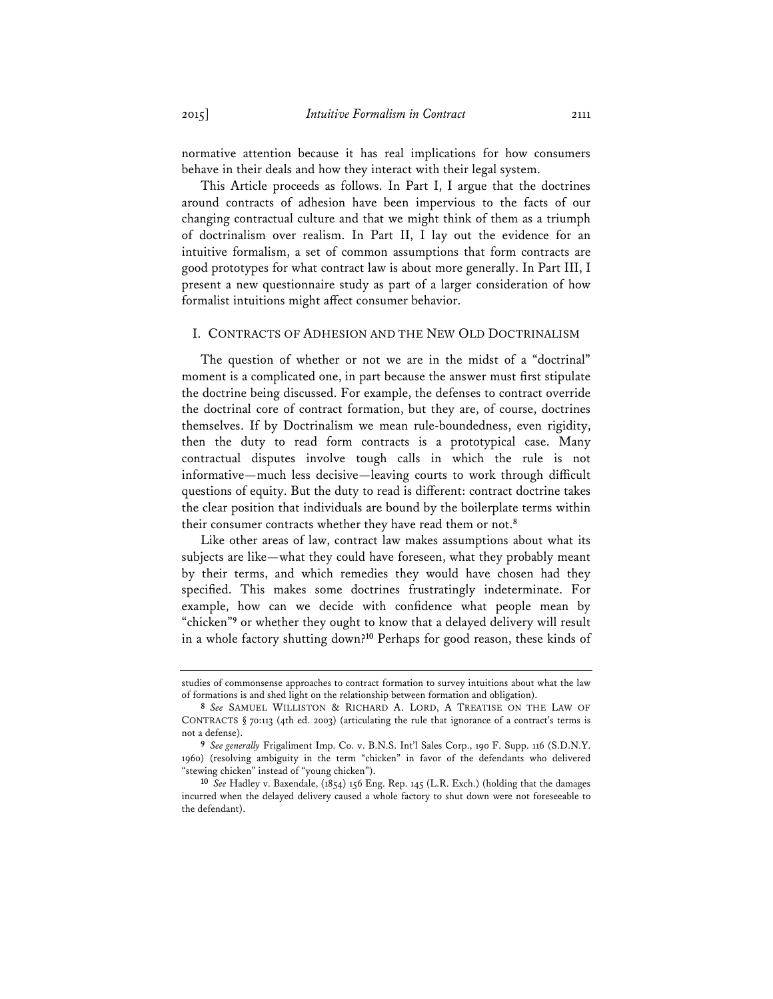normative attention because it has real implications for how consumers behave in their deals and how they interact with their legal system.

This Article proceeds as follows. In Part I, I argue that the doctrines around contracts of adhesion have been impervious to the facts of our changing contractual culture and that we might think of them as a triumph of doctrinalism over realism. In Part II, I lay out the evidence for an intuitive formalism, a set of common assumptions that form contracts are good prototypes for what contract law is about more generally. In Part III, I present a new questionnaire study as part of a larger consideration of how formalist intuitions might affect consumer behavior.

### I. CONTRACTS OF ADHESION AND THE NEW OLD DOCTRINALISM

The question of whether or not we are in the midst of a "doctrinal" moment is a complicated one, in part because the answer must first stipulate the doctrine being discussed. For example, the defenses to contract override the doctrinal core of contract formation, but they are, of course, doctrines themselves. If by Doctrinalism we mean rule-boundedness, even rigidity, then the duty to read form contracts is a prototypical case. Many contractual disputes involve tough calls in which the rule is not informative—much less decisive—leaving courts to work through difficult questions of equity. But the duty to read is different: contract doctrine takes the clear position that individuals are bound by the boilerplate terms within their consumer contracts whether they have read them or not.**<sup>8</sup>**

Like other areas of law, contract law makes assumptions about what its subjects are like—what they could have foreseen, what they probably meant by their terms, and which remedies they would have chosen had they specified. This makes some doctrines frustratingly indeterminate. For example, how can we decide with confidence what people mean by "chicken"**<sup>9</sup>** or whether they ought to know that a delayed delivery will result in a whole factory shutting down?**<sup>10</sup>** Perhaps for good reason, these kinds of

studies of commonsense approaches to contract formation to survey intuitions about what the law of formations is and shed light on the relationship between formation and obligation).

**<sup>8</sup>** *See* SAMUEL WILLISTON & RICHARD A. LORD, A TREATISE ON THE LAW OF CONTRACTS § 70:113 (4th ed. 2003) (articulating the rule that ignorance of a contract's terms is not a defense).

**<sup>9</sup>** *See generally* Frigaliment Imp. Co. v. B.N.S. Int'l Sales Corp., 190 F. Supp. 116 (S.D.N.Y. 1960) (resolving ambiguity in the term "chicken" in favor of the defendants who delivered "stewing chicken" instead of "young chicken").

**<sup>10</sup>** *See* Hadley v. Baxendale, (1854) 156 Eng. Rep. 145 (L.R. Exch.) (holding that the damages incurred when the delayed delivery caused a whole factory to shut down were not foreseeable to the defendant).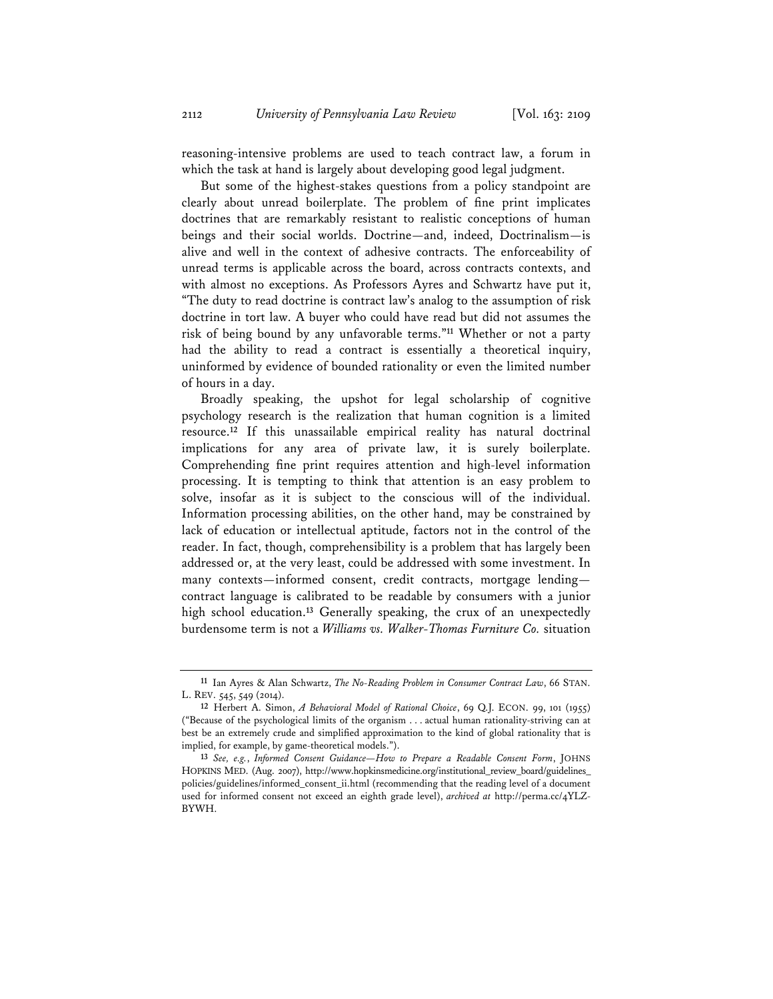reasoning-intensive problems are used to teach contract law, a forum in which the task at hand is largely about developing good legal judgment.

 But some of the highest-stakes questions from a policy standpoint are clearly about unread boilerplate. The problem of fine print implicates doctrines that are remarkably resistant to realistic conceptions of human beings and their social worlds. Doctrine—and, indeed, Doctrinalism—is alive and well in the context of adhesive contracts. The enforceability of unread terms is applicable across the board, across contracts contexts, and with almost no exceptions. As Professors Ayres and Schwartz have put it, "The duty to read doctrine is contract law's analog to the assumption of risk doctrine in tort law. A buyer who could have read but did not assumes the risk of being bound by any unfavorable terms."**<sup>11</sup>** Whether or not a party had the ability to read a contract is essentially a theoretical inquiry, uninformed by evidence of bounded rationality or even the limited number of hours in a day.

Broadly speaking, the upshot for legal scholarship of cognitive psychology research is the realization that human cognition is a limited resource.**<sup>12</sup>** If this unassailable empirical reality has natural doctrinal implications for any area of private law, it is surely boilerplate. Comprehending fine print requires attention and high-level information processing. It is tempting to think that attention is an easy problem to solve, insofar as it is subject to the conscious will of the individual. Information processing abilities, on the other hand, may be constrained by lack of education or intellectual aptitude, factors not in the control of the reader. In fact, though, comprehensibility is a problem that has largely been addressed or, at the very least, could be addressed with some investment. In many contexts—informed consent, credit contracts, mortgage lending contract language is calibrated to be readable by consumers with a junior high school education.**<sup>13</sup>** Generally speaking, the crux of an unexpectedly burdensome term is not a *Williams vs. Walker-Thomas Furniture Co.* situation

**<sup>11</sup>** Ian Ayres & Alan Schwartz, *The No-Reading Problem in Consumer Contract Law*, 66 STAN. L. REV. 545, 549 (2014).

**<sup>12</sup>** Herbert A. Simon, *A Behavioral Model of Rational Choice*, 69 Q.J. ECON. 99, 101 (1955) ("Because of the psychological limits of the organism . . . actual human rationality-striving can at best be an extremely crude and simplified approximation to the kind of global rationality that is implied, for example, by game-theoretical models.").

**<sup>13</sup>** *See, e.g.*, *Informed Consent Guidance—How to Prepare a Readable Consent Form*, JOHNS HOPKINS MED. (Aug. 2007), http://www.hopkinsmedicine.org/institutional\_review\_board/guidelines\_ policies/guidelines/informed\_consent\_ii.html (recommending that the reading level of a document used for informed consent not exceed an eighth grade level), *archived at* http://perma.cc/4YLZ-BYWH.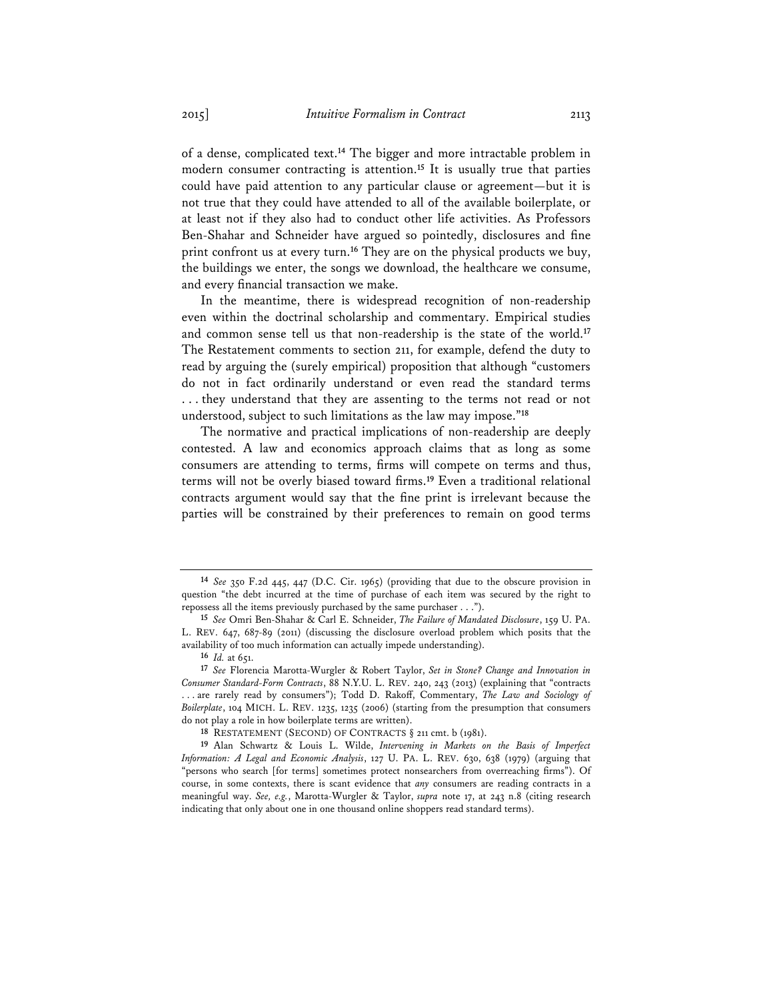of a dense, complicated text.**<sup>14</sup>** The bigger and more intractable problem in modern consumer contracting is attention.**<sup>15</sup>** It is usually true that parties could have paid attention to any particular clause or agreement—but it is not true that they could have attended to all of the available boilerplate, or at least not if they also had to conduct other life activities. As Professors Ben-Shahar and Schneider have argued so pointedly, disclosures and fine print confront us at every turn.**<sup>16</sup>** They are on the physical products we buy, the buildings we enter, the songs we download, the healthcare we consume, and every financial transaction we make.

In the meantime, there is widespread recognition of non-readership even within the doctrinal scholarship and commentary. Empirical studies and common sense tell us that non-readership is the state of the world.**<sup>17</sup>** The Restatement comments to section 211, for example, defend the duty to read by arguing the (surely empirical) proposition that although "customers do not in fact ordinarily understand or even read the standard terms . . . they understand that they are assenting to the terms not read or not understood, subject to such limitations as the law may impose."**<sup>18</sup>**

The normative and practical implications of non-readership are deeply contested. A law and economics approach claims that as long as some consumers are attending to terms, firms will compete on terms and thus, terms will not be overly biased toward firms.**<sup>19</sup>** Even a traditional relational contracts argument would say that the fine print is irrelevant because the parties will be constrained by their preferences to remain on good terms

**<sup>14</sup>** *See* 350 F.2d 445, 447 (D.C. Cir. 1965) (providing that due to the obscure provision in question "the debt incurred at the time of purchase of each item was secured by the right to repossess all the items previously purchased by the same purchaser . . .").

**<sup>15</sup>** *See* Omri Ben-Shahar & Carl E. Schneider, *The Failure of Mandated Disclosure*, 159 U. PA. L. REV. 647, 687-89 (2011) (discussing the disclosure overload problem which posits that the availability of too much information can actually impede understanding).

<sup>16</sup> *Id.* at 651.

**<sup>17</sup>** *See* Florencia Marotta-Wurgler & Robert Taylor, *Set in Stone? Change and Innovation in Consumer Standard-Form Contracts*, 88 N.Y.U. L. REV. 240, 243 (2013) (explaining that "contracts . . . are rarely read by consumers"); Todd D. Rakoff, Commentary, *The Law and Sociology of Boilerplate*, 104 MICH. L. REV. 1235, 1235 (2006) (starting from the presumption that consumers do not play a role in how boilerplate terms are written).

**<sup>18</sup>** RESTATEMENT (SECOND) OF CONTRACTS § 211 cmt. b (1981).

**<sup>19</sup>** Alan Schwartz & Louis L. Wilde, *Intervening in Markets on the Basis of Imperfect Information: A Legal and Economic Analysis*, 127 U. PA. L. REV. 630, 638 (1979) (arguing that "persons who search [for terms] sometimes protect nonsearchers from overreaching firms"). Of course, in some contexts, there is scant evidence that *any* consumers are reading contracts in a meaningful way. *See, e.g.*, Marotta-Wurgler & Taylor, *supra* note 17, at 243 n.8 (citing research indicating that only about one in one thousand online shoppers read standard terms).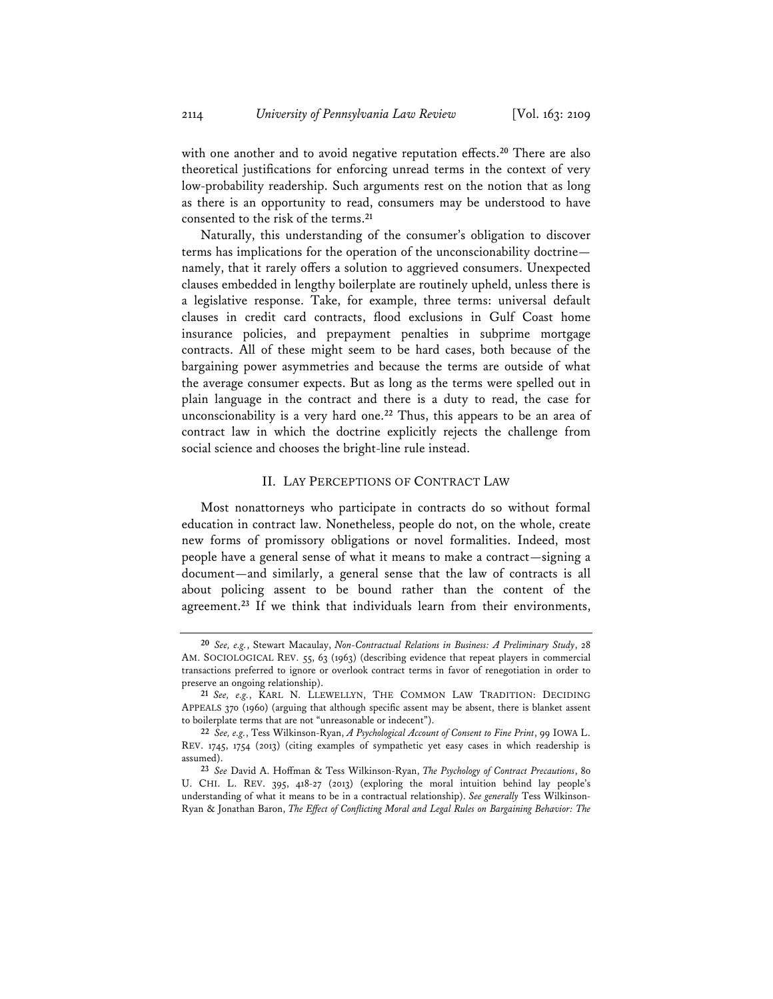with one another and to avoid negative reputation effects.**<sup>20</sup>** There are also theoretical justifications for enforcing unread terms in the context of very low-probability readership. Such arguments rest on the notion that as long as there is an opportunity to read, consumers may be understood to have consented to the risk of the terms.**<sup>21</sup>**

Naturally, this understanding of the consumer's obligation to discover terms has implications for the operation of the unconscionability doctrine namely, that it rarely offers a solution to aggrieved consumers. Unexpected clauses embedded in lengthy boilerplate are routinely upheld, unless there is a legislative response. Take, for example, three terms: universal default clauses in credit card contracts, flood exclusions in Gulf Coast home insurance policies, and prepayment penalties in subprime mortgage contracts. All of these might seem to be hard cases, both because of the bargaining power asymmetries and because the terms are outside of what the average consumer expects. But as long as the terms were spelled out in plain language in the contract and there is a duty to read, the case for unconscionability is a very hard one.**<sup>22</sup>** Thus, this appears to be an area of contract law in which the doctrine explicitly rejects the challenge from social science and chooses the bright-line rule instead.

#### II. LAY PERCEPTIONS OF CONTRACT LAW

Most nonattorneys who participate in contracts do so without formal education in contract law. Nonetheless, people do not, on the whole, create new forms of promissory obligations or novel formalities. Indeed, most people have a general sense of what it means to make a contract—signing a document—and similarly, a general sense that the law of contracts is all about policing assent to be bound rather than the content of the agreement.**<sup>23</sup>** If we think that individuals learn from their environments,

**<sup>20</sup>** *See, e.g.*, Stewart Macaulay, *Non-Contractual Relations in Business: A Preliminary Study*, 28 AM. SOCIOLOGICAL REV. 55, 63 (1963) (describing evidence that repeat players in commercial transactions preferred to ignore or overlook contract terms in favor of renegotiation in order to preserve an ongoing relationship).

**<sup>21</sup>** *See, e.g.*, KARL N. LLEWELLYN, THE COMMON LAW TRADITION: DECIDING APPEALS 370 (1960) (arguing that although specific assent may be absent, there is blanket assent to boilerplate terms that are not "unreasonable or indecent").

**<sup>22</sup>** *See, e.g.*, Tess Wilkinson-Ryan, *A Psychological Account of Consent to Fine Print*, 99 IOWA L. REV. 1745, 1754 (2013) (citing examples of sympathetic yet easy cases in which readership is assumed).

**<sup>23</sup>** *See* David A. Hoffman & Tess Wilkinson-Ryan, *The Psychology of Contract Precautions*, 80 U. CHI. L. REV. 395, 418-27 (2013) (exploring the moral intuition behind lay people's understanding of what it means to be in a contractual relationship). *See generally* Tess Wilkinson-Ryan & Jonathan Baron, *The Effect of Conflicting Moral and Legal Rules on Bargaining Behavior: The*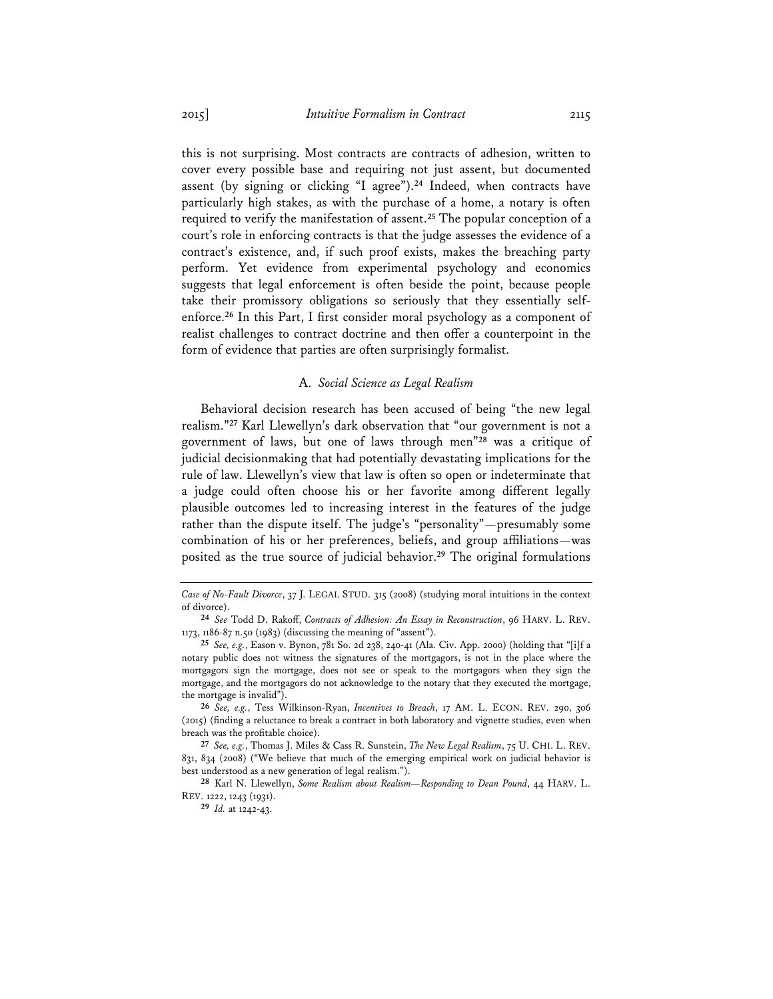this is not surprising. Most contracts are contracts of adhesion, written to cover every possible base and requiring not just assent, but documented assent (by signing or clicking "I agree").**<sup>24</sup>** Indeed, when contracts have particularly high stakes, as with the purchase of a home, a notary is often required to verify the manifestation of assent.**<sup>25</sup>** The popular conception of a court's role in enforcing contracts is that the judge assesses the evidence of a contract's existence, and, if such proof exists, makes the breaching party perform. Yet evidence from experimental psychology and economics suggests that legal enforcement is often beside the point, because people take their promissory obligations so seriously that they essentially selfenforce.**<sup>26</sup>** In this Part, I first consider moral psychology as a component of realist challenges to contract doctrine and then offer a counterpoint in the form of evidence that parties are often surprisingly formalist.

#### A. *Social Science as Legal Realism*

Behavioral decision research has been accused of being "the new legal realism."**<sup>27</sup>** Karl Llewellyn's dark observation that "our government is not a government of laws, but one of laws through men"**<sup>28</sup>** was a critique of judicial decisionmaking that had potentially devastating implications for the rule of law. Llewellyn's view that law is often so open or indeterminate that a judge could often choose his or her favorite among different legally plausible outcomes led to increasing interest in the features of the judge rather than the dispute itself. The judge's "personality"—presumably some combination of his or her preferences, beliefs, and group affiliations—was posited as the true source of judicial behavior.**<sup>29</sup>** The original formulations

*Case of No-Fault Divorce*, 37 J. LEGAL STUD. 315 (2008) (studying moral intuitions in the context of divorce).

**<sup>24</sup>** *See* Todd D. Rakoff, *Contracts of Adhesion: An Essay in Reconstruction*, 96 HARV. L. REV. 1173, 1186-87 n.50 (1983) (discussing the meaning of "assent").

**<sup>25</sup>** *See, e.g.*, Eason v. Bynon, 781 So. 2d 238, 240-41 (Ala. Civ. App. 2000) (holding that "[i]f a notary public does not witness the signatures of the mortgagors, is not in the place where the mortgagors sign the mortgage, does not see or speak to the mortgagors when they sign the mortgage, and the mortgagors do not acknowledge to the notary that they executed the mortgage, the mortgage is invalid").

**<sup>26</sup>** *See, e.g.*, Tess Wilkinson-Ryan, *Incentives to Breach*, 17 AM. L. ECON. REV. 290, 306 (2015) (finding a reluctance to break a contract in both laboratory and vignette studies, even when breach was the profitable choice).

**<sup>27</sup>** *See, e.g.*, Thomas J. Miles & Cass R. Sunstein, *The New Legal Realism*, 75 U. CHI. L. REV. 831, 834 (2008) ("We believe that much of the emerging empirical work on judicial behavior is best understood as a new generation of legal realism.").

**<sup>28</sup>** Karl N. Llewellyn, *Some Realism about Realism—Responding to Dean Pound*, 44 HARV. L. REV. 1222, 1243 (1931).

**<sup>29</sup>** *Id.* at 1242-43.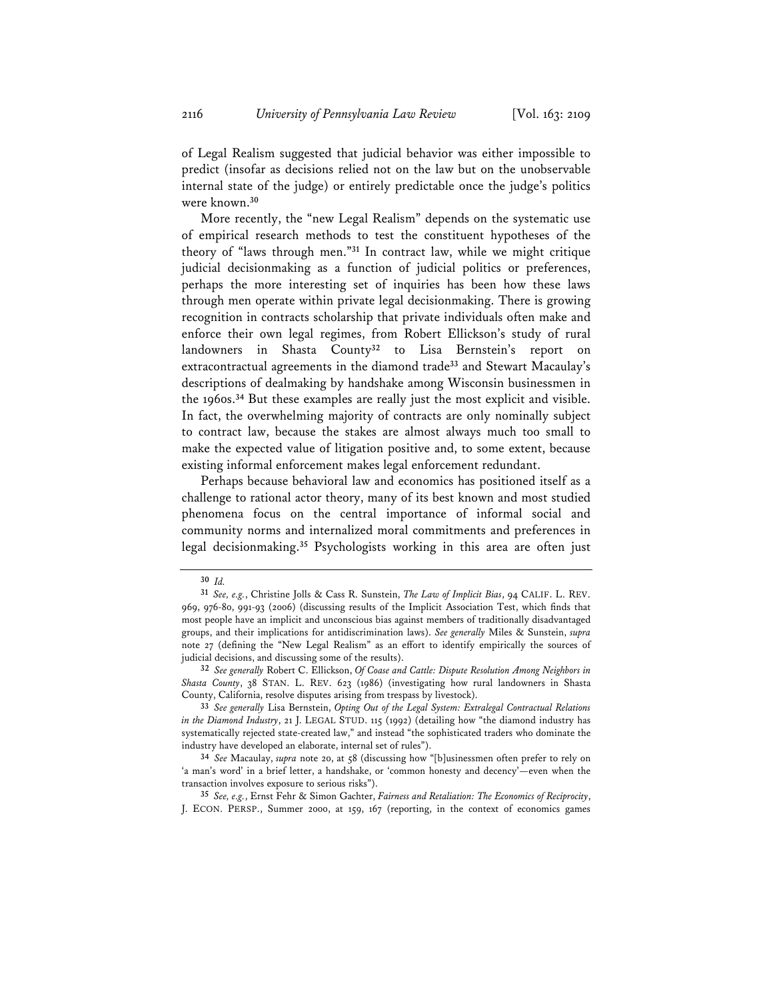of Legal Realism suggested that judicial behavior was either impossible to predict (insofar as decisions relied not on the law but on the unobservable internal state of the judge) or entirely predictable once the judge's politics were known.**<sup>30</sup>**

More recently, the "new Legal Realism" depends on the systematic use of empirical research methods to test the constituent hypotheses of the theory of "laws through men."**<sup>31</sup>** In contract law, while we might critique judicial decisionmaking as a function of judicial politics or preferences, perhaps the more interesting set of inquiries has been how these laws through men operate within private legal decisionmaking. There is growing recognition in contracts scholarship that private individuals often make and enforce their own legal regimes, from Robert Ellickson's study of rural landowners in Shasta County**<sup>32</sup>** to Lisa Bernstein's report on extracontractual agreements in the diamond trade**<sup>33</sup>** and Stewart Macaulay's descriptions of dealmaking by handshake among Wisconsin businessmen in the 1960s.**<sup>34</sup>** But these examples are really just the most explicit and visible. In fact, the overwhelming majority of contracts are only nominally subject to contract law, because the stakes are almost always much too small to make the expected value of litigation positive and, to some extent, because existing informal enforcement makes legal enforcement redundant.

Perhaps because behavioral law and economics has positioned itself as a challenge to rational actor theory, many of its best known and most studied phenomena focus on the central importance of informal social and community norms and internalized moral commitments and preferences in legal decisionmaking.**<sup>35</sup>** Psychologists working in this area are often just

**<sup>30</sup>** *Id.* 

**<sup>31</sup>** *See, e.g.*, Christine Jolls & Cass R. Sunstein, *The Law of Implicit Bias*, 94 CALIF. L. REV. 969, 976-80, 991-93 (2006) (discussing results of the Implicit Association Test, which finds that most people have an implicit and unconscious bias against members of traditionally disadvantaged groups, and their implications for antidiscrimination laws). *See generally* Miles & Sunstein, *supra* note 27 (defining the "New Legal Realism" as an effort to identify empirically the sources of judicial decisions, and discussing some of the results).

**<sup>32</sup>** *See generally* Robert C. Ellickson, *Of Coase and Cattle: Dispute Resolution Among Neighbors in Shasta County*, 38 STAN. L. REV. 623 (1986) (investigating how rural landowners in Shasta County, California, resolve disputes arising from trespass by livestock).

**<sup>33</sup>** *See generally* Lisa Bernstein, *Opting Out of the Legal System: Extralegal Contractual Relations in the Diamond Industry*, 21 J. LEGAL STUD. 115 (1992) (detailing how "the diamond industry has systematically rejected state-created law," and instead "the sophisticated traders who dominate the industry have developed an elaborate, internal set of rules").

**<sup>34</sup>** *See* Macaulay, *supra* note 20, at 58 (discussing how "[b]usinessmen often prefer to rely on 'a man's word' in a brief letter, a handshake, or 'common honesty and decency'—even when the transaction involves exposure to serious risks").

**<sup>35</sup>** *See, e.g.*, Ernst Fehr & Simon Gachter, *Fairness and Retaliation: The Economics of Reciprocity*, J. ECON. PERSP., Summer 2000, at 159, 167 (reporting, in the context of economics games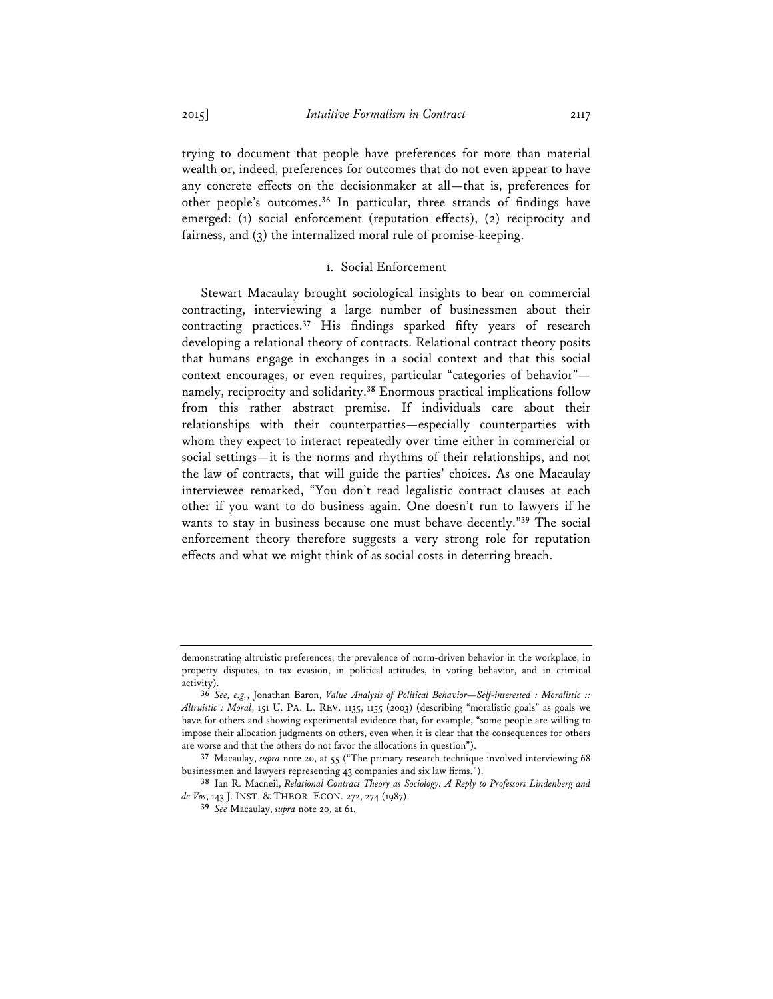trying to document that people have preferences for more than material wealth or, indeed, preferences for outcomes that do not even appear to have any concrete effects on the decisionmaker at all—that is, preferences for other people's outcomes.**<sup>36</sup>** In particular, three strands of findings have emerged: (1) social enforcement (reputation effects), (2) reciprocity and fairness, and (3) the internalized moral rule of promise-keeping.

#### 1. Social Enforcement

Stewart Macaulay brought sociological insights to bear on commercial contracting, interviewing a large number of businessmen about their contracting practices.**<sup>37</sup>** His findings sparked fifty years of research developing a relational theory of contracts. Relational contract theory posits that humans engage in exchanges in a social context and that this social context encourages, or even requires, particular "categories of behavior" namely, reciprocity and solidarity.**<sup>38</sup>** Enormous practical implications follow from this rather abstract premise. If individuals care about their relationships with their counterparties—especially counterparties with whom they expect to interact repeatedly over time either in commercial or social settings—it is the norms and rhythms of their relationships, and not the law of contracts, that will guide the parties' choices. As one Macaulay interviewee remarked, "You don't read legalistic contract clauses at each other if you want to do business again. One doesn't run to lawyers if he wants to stay in business because one must behave decently."**<sup>39</sup>** The social enforcement theory therefore suggests a very strong role for reputation effects and what we might think of as social costs in deterring breach.

demonstrating altruistic preferences, the prevalence of norm-driven behavior in the workplace, in property disputes, in tax evasion, in political attitudes, in voting behavior, and in criminal activity).

**<sup>36</sup>** *See, e.g.*, Jonathan Baron, *Value Analysis of Political Behavior—Self-interested : Moralistic :: Altruistic : Moral*, 151 U. PA. L. REV. 1135, 1155 (2003) (describing "moralistic goals" as goals we have for others and showing experimental evidence that, for example, "some people are willing to impose their allocation judgments on others, even when it is clear that the consequences for others are worse and that the others do not favor the allocations in question").

**<sup>37</sup>** Macaulay, *supra* note 20, at 55 ("The primary research technique involved interviewing 68 businessmen and lawyers representing 43 companies and six law firms.").

**<sup>38</sup>** Ian R. Macneil, *Relational Contract Theory as Sociology: A Reply to Professors Lindenberg and de Vos*, 143 J. INST. & THEOR. ECON. 272, 274 (1987).

**<sup>39</sup>** *See* Macaulay, *supra* note 20, at 61.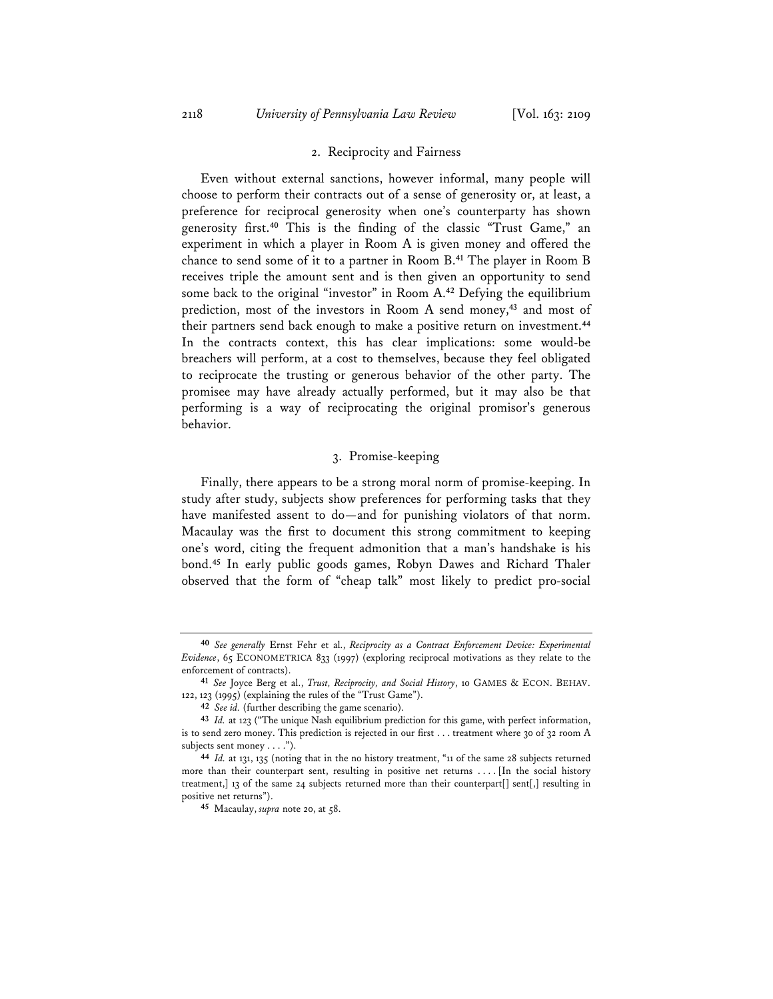#### 2. Reciprocity and Fairness

Even without external sanctions, however informal, many people will choose to perform their contracts out of a sense of generosity or, at least, a preference for reciprocal generosity when one's counterparty has shown generosity first.**<sup>40</sup>** This is the finding of the classic "Trust Game," an experiment in which a player in Room A is given money and offered the chance to send some of it to a partner in Room B.**<sup>41</sup>** The player in Room B receives triple the amount sent and is then given an opportunity to send some back to the original "investor" in Room A.**<sup>42</sup>** Defying the equilibrium prediction, most of the investors in Room A send money,**<sup>43</sup>** and most of their partners send back enough to make a positive return on investment.**<sup>44</sup>** In the contracts context, this has clear implications: some would-be breachers will perform, at a cost to themselves, because they feel obligated to reciprocate the trusting or generous behavior of the other party. The promisee may have already actually performed, but it may also be that performing is a way of reciprocating the original promisor's generous behavior.

### 3. Promise-keeping

Finally, there appears to be a strong moral norm of promise-keeping. In study after study, subjects show preferences for performing tasks that they have manifested assent to do—and for punishing violators of that norm. Macaulay was the first to document this strong commitment to keeping one's word, citing the frequent admonition that a man's handshake is his bond.**<sup>45</sup>** In early public goods games, Robyn Dawes and Richard Thaler observed that the form of "cheap talk" most likely to predict pro-social

**<sup>40</sup>** *See generally* Ernst Fehr et al., *Reciprocity as a Contract Enforcement Device: Experimental Evidence*, 65 ECONOMETRICA 833 (1997) (exploring reciprocal motivations as they relate to the enforcement of contracts).

**<sup>41</sup>** *See* Joyce Berg et al., *Trust, Reciprocity, and Social History*, 10 GAMES & ECON. BEHAV. 122, 123 (1995) (explaining the rules of the "Trust Game").

**<sup>42</sup>** *See id.* (further describing the game scenario).

**<sup>43</sup>** *Id.* at 123 ("The unique Nash equilibrium prediction for this game, with perfect information, is to send zero money. This prediction is rejected in our first . . . treatment where 30 of 32 room A subjects sent money . . . .").

**<sup>44</sup>** *Id.* at 131, 135 (noting that in the no history treatment, "11 of the same 28 subjects returned more than their counterpart sent, resulting in positive net returns . . . . [In the social history treatment,] 13 of the same 24 subjects returned more than their counterpart[] sent[,] resulting in positive net returns").

**<sup>45</sup>** Macaulay, *supra* note 20, at 58.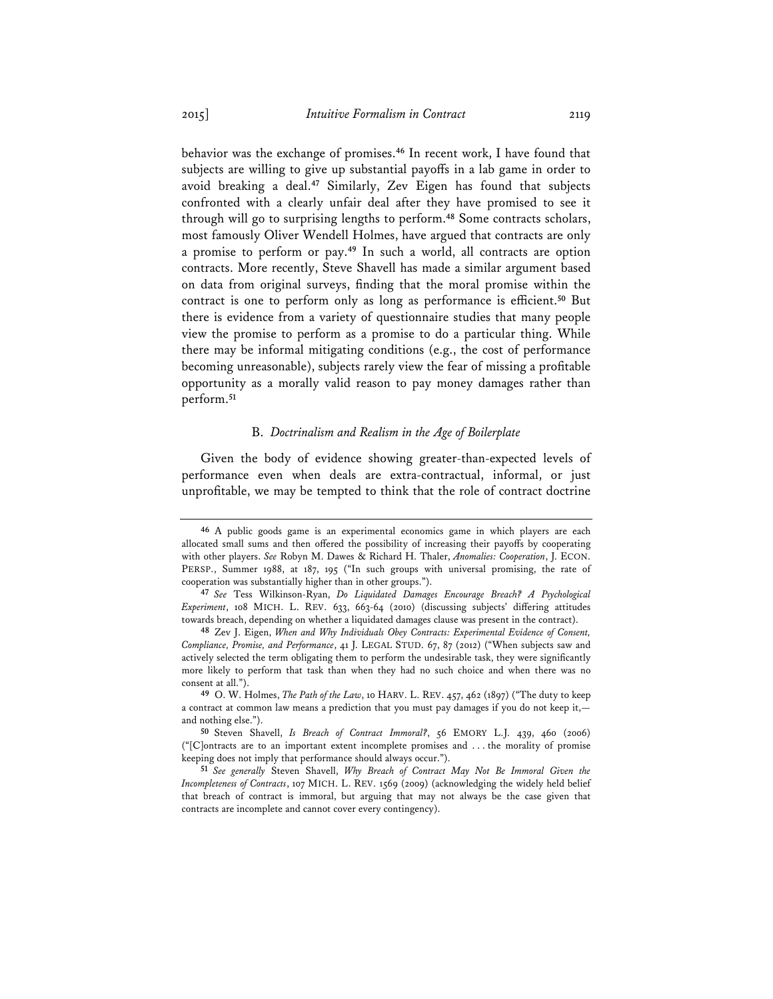behavior was the exchange of promises.**<sup>46</sup>** In recent work, I have found that subjects are willing to give up substantial payoffs in a lab game in order to avoid breaking a deal.**<sup>47</sup>** Similarly, Zev Eigen has found that subjects confronted with a clearly unfair deal after they have promised to see it through will go to surprising lengths to perform.**<sup>48</sup>** Some contracts scholars, most famously Oliver Wendell Holmes, have argued that contracts are only a promise to perform or pay.**<sup>49</sup>** In such a world, all contracts are option contracts. More recently, Steve Shavell has made a similar argument based on data from original surveys, finding that the moral promise within the contract is one to perform only as long as performance is efficient.**<sup>50</sup>** But there is evidence from a variety of questionnaire studies that many people view the promise to perform as a promise to do a particular thing. While there may be informal mitigating conditions (e.g., the cost of performance becoming unreasonable), subjects rarely view the fear of missing a profitable opportunity as a morally valid reason to pay money damages rather than perform.**<sup>51</sup>**

#### B. *Doctrinalism and Realism in the Age of Boilerplate*

Given the body of evidence showing greater-than-expected levels of performance even when deals are extra-contractual, informal, or just unprofitable, we may be tempted to think that the role of contract doctrine

**<sup>46</sup>** A public goods game is an experimental economics game in which players are each allocated small sums and then offered the possibility of increasing their payoffs by cooperating with other players. *See* Robyn M. Dawes & Richard H. Thaler, *Anomalies: Cooperation*, J. ECON. PERSP., Summer 1988, at 187, 195 ("In such groups with universal promising, the rate of cooperation was substantially higher than in other groups.").

**<sup>47</sup>** *See* Tess Wilkinson-Ryan, *Do Liquidated Damages Encourage Breach? A Psychological Experiment*, 108 MICH. L. REV. 633, 663-64 (2010) (discussing subjects' differing attitudes towards breach, depending on whether a liquidated damages clause was present in the contract).

**<sup>48</sup>** Zev J. Eigen, *When and Why Individuals Obey Contracts: Experimental Evidence of Consent, Compliance, Promise, and Performance*, 41 J. LEGAL STUD. 67, 87 (2012) ("When subjects saw and actively selected the term obligating them to perform the undesirable task, they were significantly more likely to perform that task than when they had no such choice and when there was no consent at all.").

**<sup>49</sup>** O. W. Holmes, *The Path of the Law*, 10 HARV. L. REV. 457, 462 (1897) ("The duty to keep a contract at common law means a prediction that you must pay damages if you do not keep it, and nothing else.").

**<sup>50</sup>** Steven Shavell, *Is Breach of Contract Immoral?*, 56 EMORY L.J. 439, 460 (2006)  $("[C]$ ontracts are to an important extent incomplete promises and ... the morality of promise keeping does not imply that performance should always occur.").

**<sup>51</sup>** *See generally* Steven Shavell, *Why Breach of Contract May Not Be Immoral Given the Incompleteness of Contracts*, 107 MICH. L. REV. 1569 (2009) (acknowledging the widely held belief that breach of contract is immoral, but arguing that may not always be the case given that contracts are incomplete and cannot cover every contingency).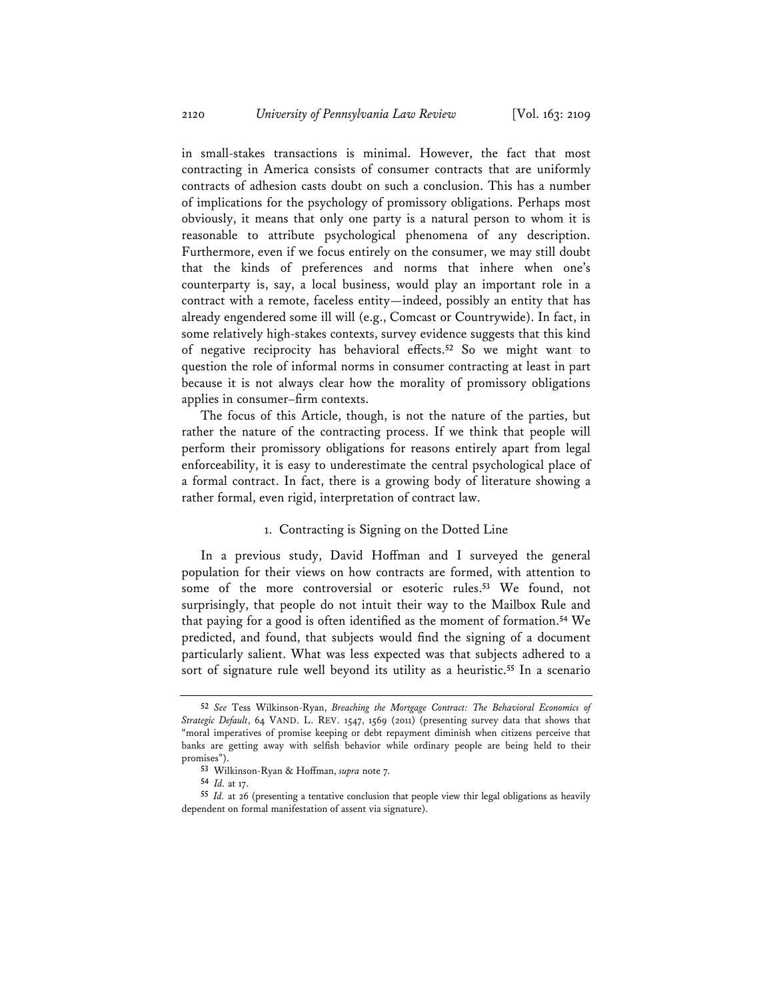in small-stakes transactions is minimal. However, the fact that most contracting in America consists of consumer contracts that are uniformly contracts of adhesion casts doubt on such a conclusion. This has a number of implications for the psychology of promissory obligations. Perhaps most obviously, it means that only one party is a natural person to whom it is reasonable to attribute psychological phenomena of any description. Furthermore, even if we focus entirely on the consumer, we may still doubt that the kinds of preferences and norms that inhere when one's counterparty is, say, a local business, would play an important role in a contract with a remote, faceless entity—indeed, possibly an entity that has already engendered some ill will (e.g., Comcast or Countrywide). In fact, in some relatively high-stakes contexts, survey evidence suggests that this kind of negative reciprocity has behavioral effects.**<sup>52</sup>** So we might want to question the role of informal norms in consumer contracting at least in part because it is not always clear how the morality of promissory obligations applies in consumer–firm contexts.

The focus of this Article, though, is not the nature of the parties, but rather the nature of the contracting process. If we think that people will perform their promissory obligations for reasons entirely apart from legal enforceability, it is easy to underestimate the central psychological place of a formal contract. In fact, there is a growing body of literature showing a rather formal, even rigid, interpretation of contract law.

### 1. Contracting is Signing on the Dotted Line

In a previous study, David Hoffman and I surveyed the general population for their views on how contracts are formed, with attention to some of the more controversial or esoteric rules.**<sup>53</sup>** We found, not surprisingly, that people do not intuit their way to the Mailbox Rule and that paying for a good is often identified as the moment of formation.**<sup>54</sup>** We predicted, and found, that subjects would find the signing of a document particularly salient. What was less expected was that subjects adhered to a sort of signature rule well beyond its utility as a heuristic.**<sup>55</sup>** In a scenario

**<sup>52</sup>** *See* Tess Wilkinson-Ryan, *Breaching the Mortgage Contract: The Behavioral Economics of Strategic Default*, 64 VAND. L. REV. 1547, 1569 (2011) (presenting survey data that shows that "moral imperatives of promise keeping or debt repayment diminish when citizens perceive that banks are getting away with selfish behavior while ordinary people are being held to their promises").

**<sup>53</sup>** Wilkinson-Ryan & Hoffman, *supra* note 7.

**<sup>54</sup>** *Id.* at 17.

**<sup>55</sup>** *Id.* at 26 (presenting a tentative conclusion that people view thir legal obligations as heavily dependent on formal manifestation of assent via signature).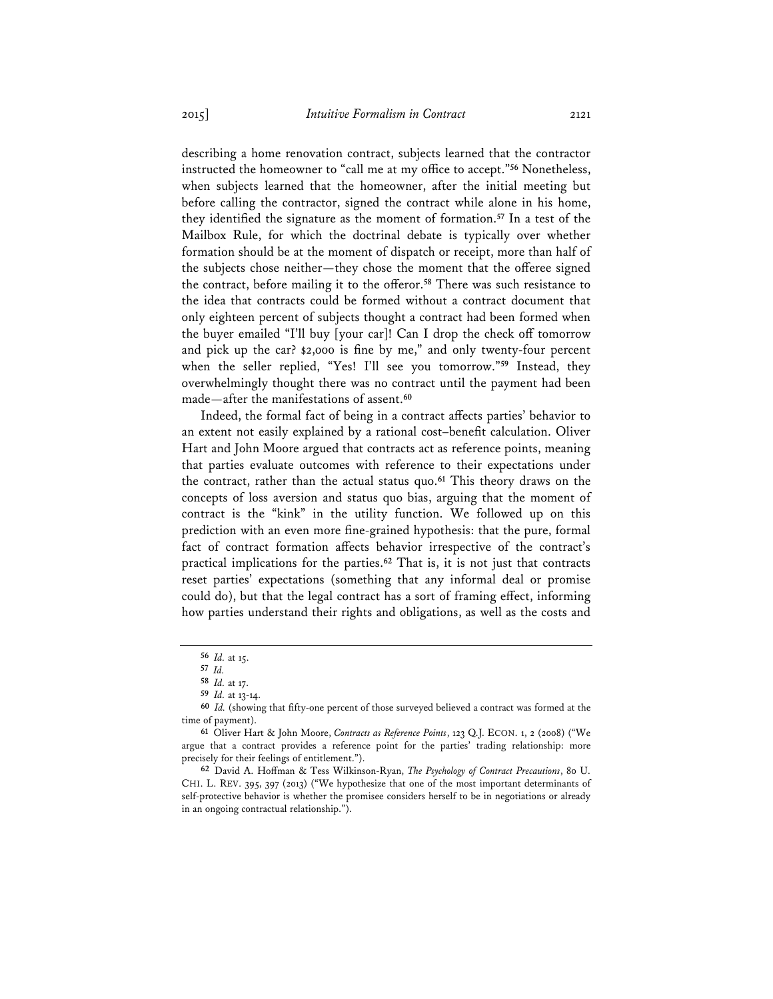describing a home renovation contract, subjects learned that the contractor instructed the homeowner to "call me at my office to accept."**<sup>56</sup>** Nonetheless, when subjects learned that the homeowner, after the initial meeting but before calling the contractor, signed the contract while alone in his home, they identified the signature as the moment of formation.**<sup>57</sup>** In a test of the Mailbox Rule, for which the doctrinal debate is typically over whether formation should be at the moment of dispatch or receipt, more than half of the subjects chose neither—they chose the moment that the offeree signed the contract, before mailing it to the offeror.**<sup>58</sup>** There was such resistance to the idea that contracts could be formed without a contract document that only eighteen percent of subjects thought a contract had been formed when the buyer emailed "I'll buy [your car]! Can I drop the check off tomorrow and pick up the car? \$2,000 is fine by me," and only twenty-four percent when the seller replied, "Yes! I'll see you tomorrow."**<sup>59</sup>** Instead, they overwhelmingly thought there was no contract until the payment had been made—after the manifestations of assent.**<sup>60</sup>**

Indeed, the formal fact of being in a contract affects parties' behavior to an extent not easily explained by a rational cost–benefit calculation. Oliver Hart and John Moore argued that contracts act as reference points, meaning that parties evaluate outcomes with reference to their expectations under the contract, rather than the actual status quo.**<sup>61</sup>** This theory draws on the concepts of loss aversion and status quo bias, arguing that the moment of contract is the "kink" in the utility function. We followed up on this prediction with an even more fine-grained hypothesis: that the pure, formal fact of contract formation affects behavior irrespective of the contract's practical implications for the parties.**<sup>62</sup>** That is, it is not just that contracts reset parties' expectations (something that any informal deal or promise could do), but that the legal contract has a sort of framing effect, informing how parties understand their rights and obligations, as well as the costs and

**<sup>56</sup>** *Id.* at 15.

**<sup>57</sup>** *Id.*

**<sup>58</sup>** *Id.* at 17.

**<sup>59</sup>** *Id.* at 13-14.

**<sup>60</sup>** *Id.* (showing that fifty-one percent of those surveyed believed a contract was formed at the time of payment).

**<sup>61</sup>** Oliver Hart & John Moore, *Contracts as Reference Points*, 123 Q.J. ECON. 1, 2 (2008) ("We argue that a contract provides a reference point for the parties' trading relationship: more precisely for their feelings of entitlement.").

**<sup>62</sup>** David A. Hoffman & Tess Wilkinson-Ryan, *The Psychology of Contract Precautions*, 80 U. CHI. L. REV. 395, 397 (2013) ("We hypothesize that one of the most important determinants of self-protective behavior is whether the promisee considers herself to be in negotiations or already in an ongoing contractual relationship.").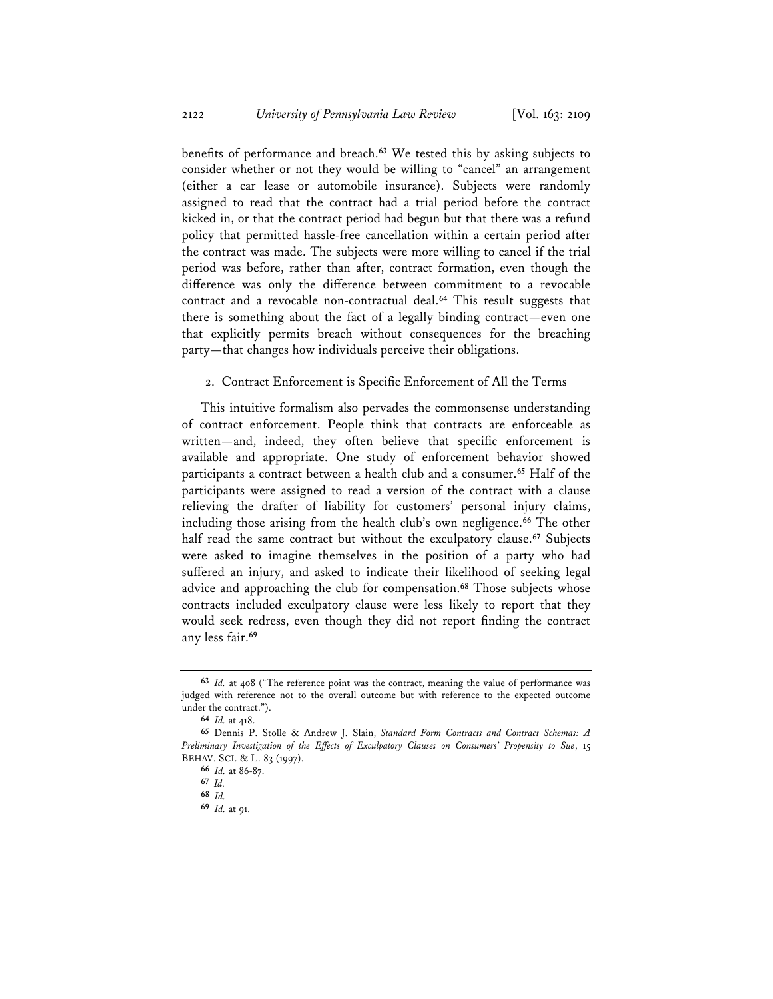benefits of performance and breach.**<sup>63</sup>** We tested this by asking subjects to consider whether or not they would be willing to "cancel" an arrangement (either a car lease or automobile insurance). Subjects were randomly assigned to read that the contract had a trial period before the contract kicked in, or that the contract period had begun but that there was a refund policy that permitted hassle-free cancellation within a certain period after the contract was made. The subjects were more willing to cancel if the trial period was before, rather than after, contract formation, even though the difference was only the difference between commitment to a revocable contract and a revocable non-contractual deal.**<sup>64</sup>** This result suggests that there is something about the fact of a legally binding contract—even one that explicitly permits breach without consequences for the breaching party—that changes how individuals perceive their obligations.

#### 2. Contract Enforcement is Specific Enforcement of All the Terms

This intuitive formalism also pervades the commonsense understanding of contract enforcement. People think that contracts are enforceable as written—and, indeed, they often believe that specific enforcement is available and appropriate. One study of enforcement behavior showed participants a contract between a health club and a consumer.**<sup>65</sup>** Half of the participants were assigned to read a version of the contract with a clause relieving the drafter of liability for customers' personal injury claims, including those arising from the health club's own negligence.**<sup>66</sup>** The other half read the same contract but without the exculpatory clause.**<sup>67</sup>** Subjects were asked to imagine themselves in the position of a party who had suffered an injury, and asked to indicate their likelihood of seeking legal advice and approaching the club for compensation.**<sup>68</sup>** Those subjects whose contracts included exculpatory clause were less likely to report that they would seek redress, even though they did not report finding the contract any less fair.**<sup>69</sup>**

**<sup>63</sup>** *Id.* at 408 ("The reference point was the contract, meaning the value of performance was judged with reference not to the overall outcome but with reference to the expected outcome under the contract.").

**<sup>64</sup>** *Id.* at 418.

**<sup>65</sup>** Dennis P. Stolle & Andrew J. Slain, *Standard Form Contracts and Contract Schemas: A Preliminary Investigation of the Effects of Exculpatory Clauses on Consumers' Propensity to Sue*, 15 BEHAV. SCI. & L. 83 (1997).

**<sup>66</sup>** *Id.* at 86-87.

**<sup>67</sup>** *Id.*

**<sup>68</sup>** *Id.*

**<sup>69</sup>** *Id.* at 91.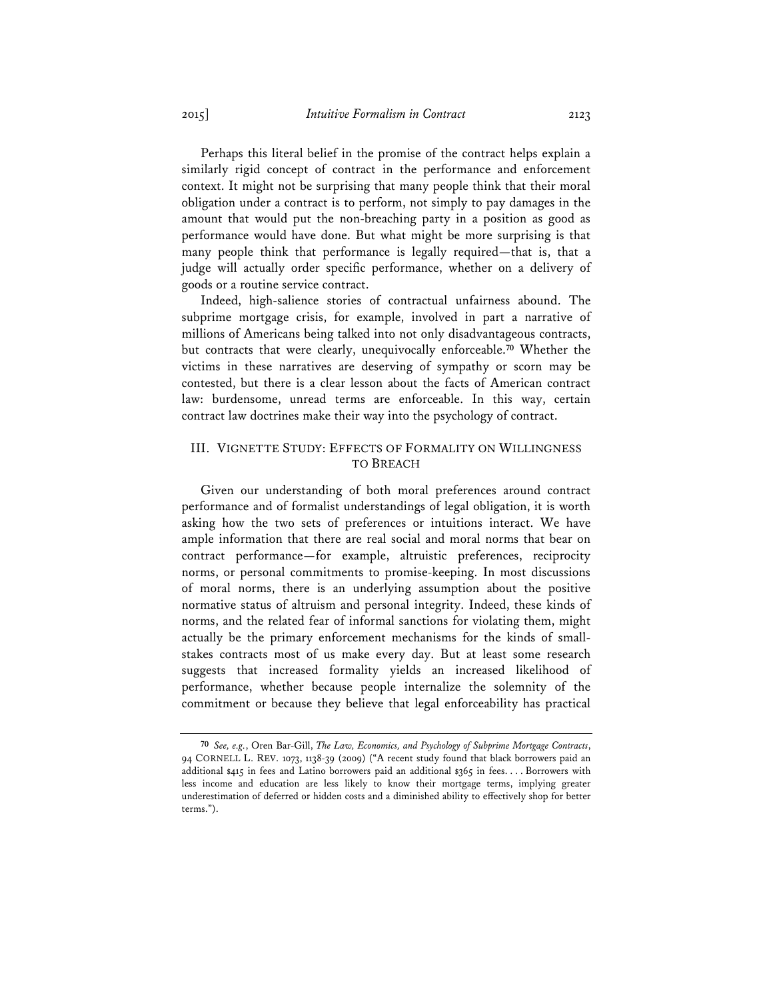Perhaps this literal belief in the promise of the contract helps explain a similarly rigid concept of contract in the performance and enforcement context. It might not be surprising that many people think that their moral obligation under a contract is to perform, not simply to pay damages in the amount that would put the non-breaching party in a position as good as performance would have done. But what might be more surprising is that many people think that performance is legally required—that is, that a judge will actually order specific performance, whether on a delivery of goods or a routine service contract.

Indeed, high-salience stories of contractual unfairness abound. The subprime mortgage crisis, for example, involved in part a narrative of millions of Americans being talked into not only disadvantageous contracts, but contracts that were clearly, unequivocally enforceable.**<sup>70</sup>** Whether the victims in these narratives are deserving of sympathy or scorn may be contested, but there is a clear lesson about the facts of American contract law: burdensome, unread terms are enforceable. In this way, certain contract law doctrines make their way into the psychology of contract.

### III. VIGNETTE STUDY: EFFECTS OF FORMALITY ON WILLINGNESS TO BREACH

Given our understanding of both moral preferences around contract performance and of formalist understandings of legal obligation, it is worth asking how the two sets of preferences or intuitions interact. We have ample information that there are real social and moral norms that bear on contract performance—for example, altruistic preferences, reciprocity norms, or personal commitments to promise-keeping. In most discussions of moral norms, there is an underlying assumption about the positive normative status of altruism and personal integrity. Indeed, these kinds of norms, and the related fear of informal sanctions for violating them, might actually be the primary enforcement mechanisms for the kinds of smallstakes contracts most of us make every day. But at least some research suggests that increased formality yields an increased likelihood of performance, whether because people internalize the solemnity of the commitment or because they believe that legal enforceability has practical

**<sup>70</sup>** *See, e.g.*, Oren Bar-Gill, *The Law, Economics, and Psychology of Subprime Mortgage Contracts*, 94 CORNELL L. REV. 1073, 1138-39 (2009) ("A recent study found that black borrowers paid an additional \$415 in fees and Latino borrowers paid an additional \$365 in fees. . . . Borrowers with less income and education are less likely to know their mortgage terms, implying greater underestimation of deferred or hidden costs and a diminished ability to effectively shop for better terms.").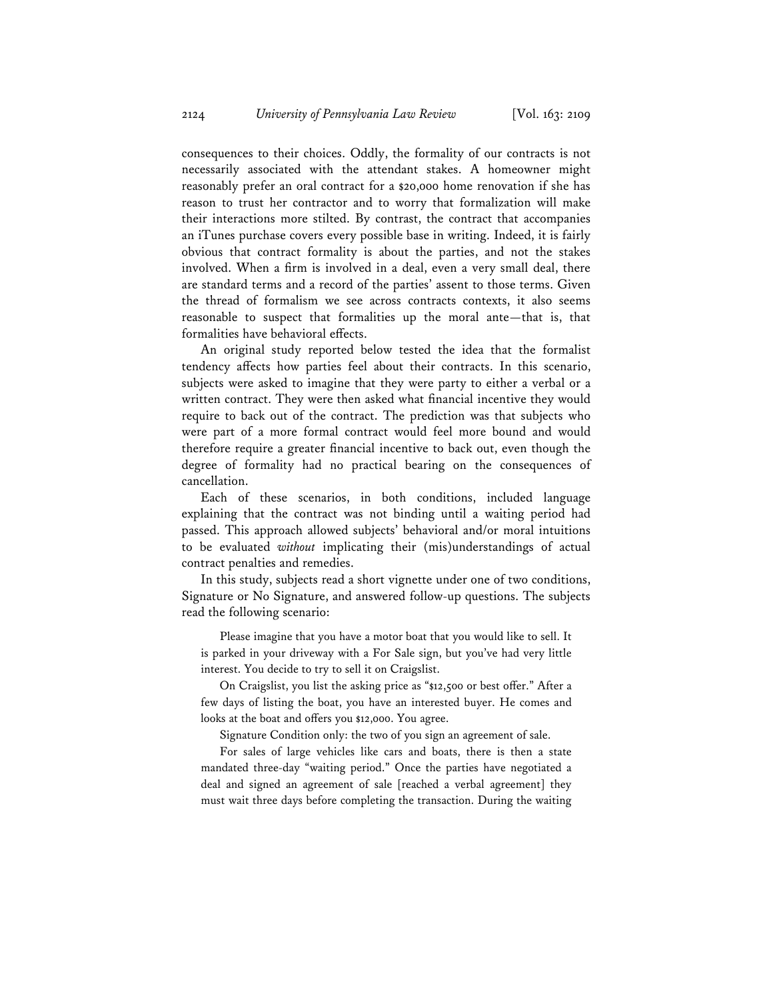consequences to their choices. Oddly, the formality of our contracts is not necessarily associated with the attendant stakes. A homeowner might reasonably prefer an oral contract for a \$20,000 home renovation if she has reason to trust her contractor and to worry that formalization will make their interactions more stilted. By contrast, the contract that accompanies an iTunes purchase covers every possible base in writing. Indeed, it is fairly obvious that contract formality is about the parties, and not the stakes involved. When a firm is involved in a deal, even a very small deal, there are standard terms and a record of the parties' assent to those terms. Given the thread of formalism we see across contracts contexts, it also seems reasonable to suspect that formalities up the moral ante—that is, that formalities have behavioral effects.

An original study reported below tested the idea that the formalist tendency affects how parties feel about their contracts. In this scenario, subjects were asked to imagine that they were party to either a verbal or a written contract. They were then asked what financial incentive they would require to back out of the contract. The prediction was that subjects who were part of a more formal contract would feel more bound and would therefore require a greater financial incentive to back out, even though the degree of formality had no practical bearing on the consequences of cancellation.

Each of these scenarios, in both conditions, included language explaining that the contract was not binding until a waiting period had passed. This approach allowed subjects' behavioral and/or moral intuitions to be evaluated *without* implicating their (mis)understandings of actual contract penalties and remedies.

In this study, subjects read a short vignette under one of two conditions, Signature or No Signature, and answered follow-up questions. The subjects read the following scenario:

Please imagine that you have a motor boat that you would like to sell. It is parked in your driveway with a For Sale sign, but you've had very little interest. You decide to try to sell it on Craigslist.

On Craigslist, you list the asking price as "\$12,500 or best offer." After a few days of listing the boat, you have an interested buyer. He comes and looks at the boat and offers you \$12,000. You agree.

Signature Condition only: the two of you sign an agreement of sale.

For sales of large vehicles like cars and boats, there is then a state mandated three-day "waiting period." Once the parties have negotiated a deal and signed an agreement of sale [reached a verbal agreement] they must wait three days before completing the transaction. During the waiting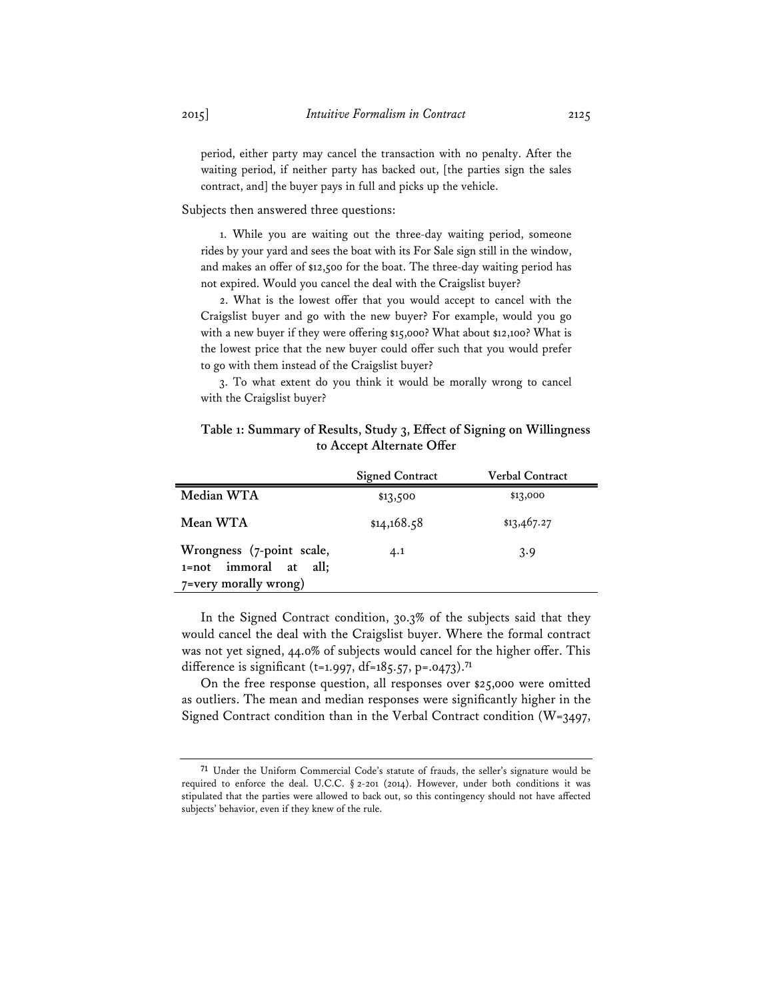period, either party may cancel the transaction with no penalty. After the waiting period, if neither party has backed out, [the parties sign the sales contract, and] the buyer pays in full and picks up the vehicle.

Subjects then answered three questions:

1. While you are waiting out the three-day waiting period, someone rides by your yard and sees the boat with its For Sale sign still in the window, and makes an offer of \$12,500 for the boat. The three-day waiting period has not expired. Would you cancel the deal with the Craigslist buyer?

2. What is the lowest offer that you would accept to cancel with the Craigslist buyer and go with the new buyer? For example, would you go with a new buyer if they were offering \$15,000? What about \$12,100? What is the lowest price that the new buyer could offer such that you would prefer to go with them instead of the Craigslist buyer?

3. To what extent do you think it would be morally wrong to cancel with the Craigslist buyer?

### **Table 1: Summary of Results, Study 3, Effect of Signing on Willingness to Accept Alternate Offer**

|                                                                             | <b>Signed Contract</b> | Verbal Contract |
|-----------------------------------------------------------------------------|------------------------|-----------------|
| Median WTA                                                                  | \$13,500               | \$13,000        |
| Mean WTA                                                                    | \$14,168.58            | \$13,467.27     |
| Wrongness (7-point scale,<br>1=not immoral at all;<br>7=very morally wrong) | 4.1                    | 3.9             |

In the Signed Contract condition, 30.3% of the subjects said that they would cancel the deal with the Craigslist buyer. Where the formal contract was not yet signed, 44.0% of subjects would cancel for the higher offer. This difference is significant (t=1.997, df=185.57, p=.0473).**<sup>71</sup>**

On the free response question, all responses over \$25,000 were omitted as outliers. The mean and median responses were significantly higher in the Signed Contract condition than in the Verbal Contract condition (W=3497,

**<sup>71</sup>** Under the Uniform Commercial Code's statute of frauds, the seller's signature would be required to enforce the deal. U.C.C. § 2-201 (2014). However, under both conditions it was stipulated that the parties were allowed to back out, so this contingency should not have affected subjects' behavior, even if they knew of the rule.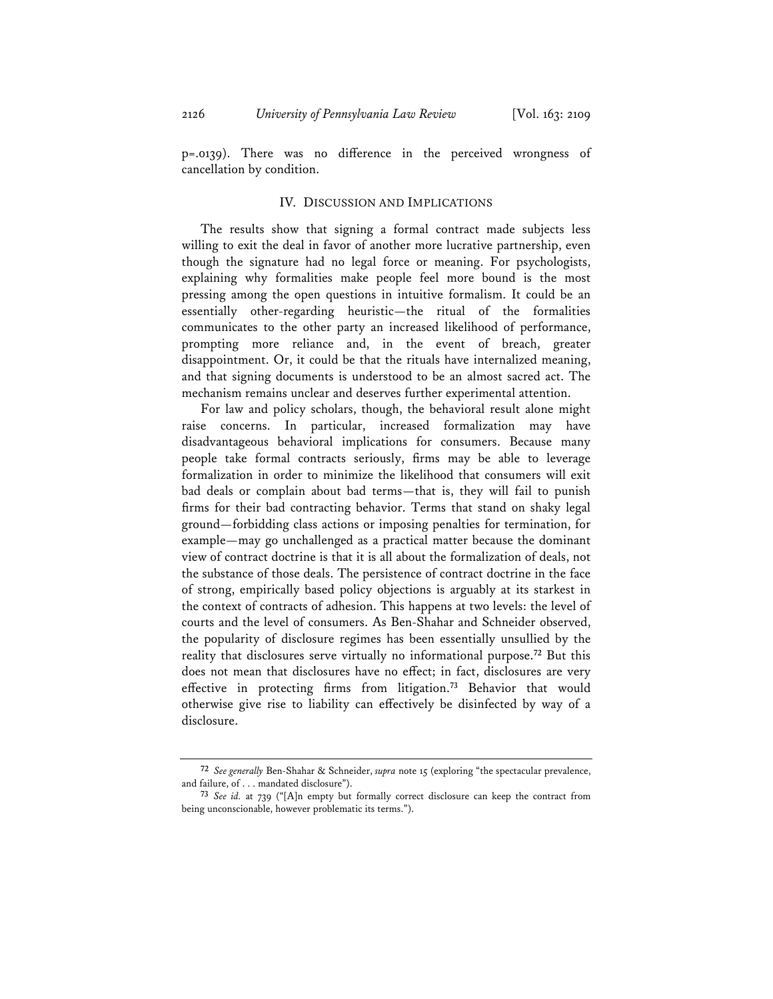p=.0139). There was no difference in the perceived wrongness of cancellation by condition.

### IV. DISCUSSION AND IMPLICATIONS

The results show that signing a formal contract made subjects less willing to exit the deal in favor of another more lucrative partnership, even though the signature had no legal force or meaning. For psychologists, explaining why formalities make people feel more bound is the most pressing among the open questions in intuitive formalism. It could be an essentially other-regarding heuristic—the ritual of the formalities communicates to the other party an increased likelihood of performance, prompting more reliance and, in the event of breach, greater disappointment. Or, it could be that the rituals have internalized meaning, and that signing documents is understood to be an almost sacred act. The mechanism remains unclear and deserves further experimental attention.

For law and policy scholars, though, the behavioral result alone might raise concerns. In particular, increased formalization may have disadvantageous behavioral implications for consumers. Because many people take formal contracts seriously, firms may be able to leverage formalization in order to minimize the likelihood that consumers will exit bad deals or complain about bad terms—that is, they will fail to punish firms for their bad contracting behavior. Terms that stand on shaky legal ground—forbidding class actions or imposing penalties for termination, for example—may go unchallenged as a practical matter because the dominant view of contract doctrine is that it is all about the formalization of deals, not the substance of those deals. The persistence of contract doctrine in the face of strong, empirically based policy objections is arguably at its starkest in the context of contracts of adhesion. This happens at two levels: the level of courts and the level of consumers. As Ben-Shahar and Schneider observed, the popularity of disclosure regimes has been essentially unsullied by the reality that disclosures serve virtually no informational purpose.**<sup>72</sup>** But this does not mean that disclosures have no effect; in fact, disclosures are very effective in protecting firms from litigation.**<sup>73</sup>** Behavior that would otherwise give rise to liability can effectively be disinfected by way of a disclosure.

**<sup>72</sup>** *See generally* Ben-Shahar & Schneider, *supra* note 15 (exploring "the spectacular prevalence, and failure, of . . . mandated disclosure").

**<sup>73</sup>** *See id.* at 739 ("[A]n empty but formally correct disclosure can keep the contract from being unconscionable, however problematic its terms.").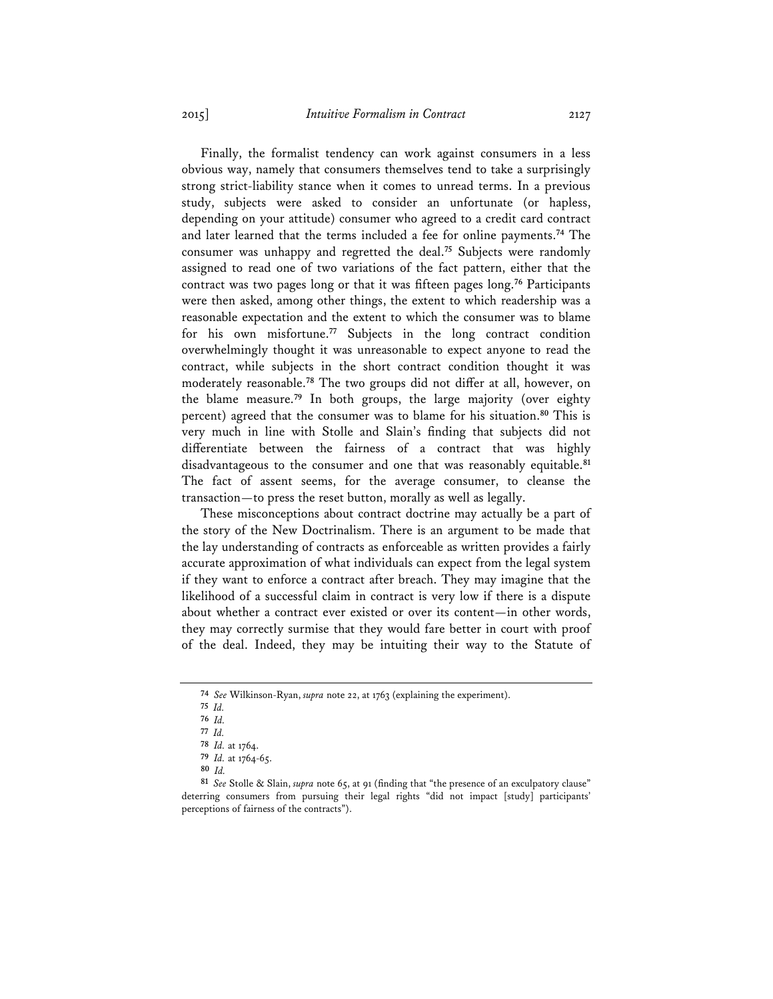Finally, the formalist tendency can work against consumers in a less obvious way, namely that consumers themselves tend to take a surprisingly strong strict-liability stance when it comes to unread terms. In a previous study, subjects were asked to consider an unfortunate (or hapless, depending on your attitude) consumer who agreed to a credit card contract and later learned that the terms included a fee for online payments.**<sup>74</sup>** The consumer was unhappy and regretted the deal.**<sup>75</sup>** Subjects were randomly assigned to read one of two variations of the fact pattern, either that the contract was two pages long or that it was fifteen pages long.**<sup>76</sup>** Participants were then asked, among other things, the extent to which readership was a reasonable expectation and the extent to which the consumer was to blame for his own misfortune.**<sup>77</sup>** Subjects in the long contract condition overwhelmingly thought it was unreasonable to expect anyone to read the contract, while subjects in the short contract condition thought it was moderately reasonable.**<sup>78</sup>** The two groups did not differ at all, however, on the blame measure.**<sup>79</sup>** In both groups, the large majority (over eighty percent) agreed that the consumer was to blame for his situation.**<sup>80</sup>** This is very much in line with Stolle and Slain's finding that subjects did not differentiate between the fairness of a contract that was highly disadvantageous to the consumer and one that was reasonably equitable.**<sup>81</sup>** The fact of assent seems, for the average consumer, to cleanse the transaction—to press the reset button, morally as well as legally.

These misconceptions about contract doctrine may actually be a part of the story of the New Doctrinalism. There is an argument to be made that the lay understanding of contracts as enforceable as written provides a fairly accurate approximation of what individuals can expect from the legal system if they want to enforce a contract after breach. They may imagine that the likelihood of a successful claim in contract is very low if there is a dispute about whether a contract ever existed or over its content—in other words, they may correctly surmise that they would fare better in court with proof of the deal. Indeed, they may be intuiting their way to the Statute of

**81** *See* Stolle & Slain, *supra* note 65, at 91 (finding that "the presence of an exculpatory clause" deterring consumers from pursuing their legal rights "did not impact [study] participants' perceptions of fairness of the contracts").

**<sup>74</sup>** *See* Wilkinson-Ryan, *supra* note 22, at 1763 (explaining the experiment).

**<sup>75</sup>** *Id.*

**<sup>76</sup>** *Id.* 

**<sup>77</sup>** *Id.* 

**<sup>78</sup>** *Id.* at 1764.

**<sup>79</sup>** *Id.* at 1764-65.

**<sup>80</sup>** *Id.*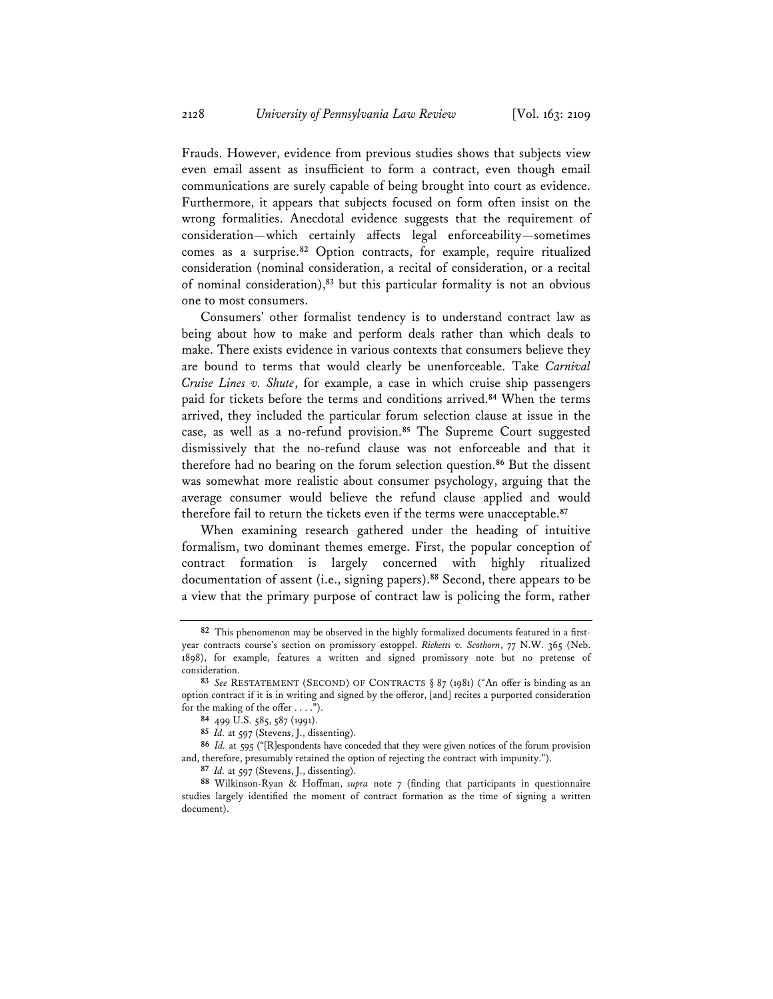Frauds. However, evidence from previous studies shows that subjects view even email assent as insufficient to form a contract, even though email communications are surely capable of being brought into court as evidence. Furthermore, it appears that subjects focused on form often insist on the wrong formalities. Anecdotal evidence suggests that the requirement of consideration—which certainly affects legal enforceability—sometimes comes as a surprise.**<sup>82</sup>** Option contracts, for example, require ritualized consideration (nominal consideration, a recital of consideration, or a recital of nominal consideration),**<sup>83</sup>** but this particular formality is not an obvious one to most consumers.

Consumers' other formalist tendency is to understand contract law as being about how to make and perform deals rather than which deals to make. There exists evidence in various contexts that consumers believe they are bound to terms that would clearly be unenforceable. Take *Carnival Cruise Lines v. Shute*, for example, a case in which cruise ship passengers paid for tickets before the terms and conditions arrived.**<sup>84</sup>** When the terms arrived, they included the particular forum selection clause at issue in the case, as well as a no-refund provision.**<sup>85</sup>** The Supreme Court suggested dismissively that the no-refund clause was not enforceable and that it therefore had no bearing on the forum selection question.**<sup>86</sup>** But the dissent was somewhat more realistic about consumer psychology, arguing that the average consumer would believe the refund clause applied and would therefore fail to return the tickets even if the terms were unacceptable.**<sup>87</sup>**

When examining research gathered under the heading of intuitive formalism, two dominant themes emerge. First, the popular conception of contract formation is largely concerned with highly ritualized documentation of assent (i.e., signing papers).**<sup>88</sup>** Second, there appears to be a view that the primary purpose of contract law is policing the form, rather

**<sup>82</sup>** This phenomenon may be observed in the highly formalized documents featured in a firstyear contracts course's section on promissory estoppel. *Ricketts v. Scothorn*, 77 N.W. 365 (Neb. 1898), for example, features a written and signed promissory note but no pretense of consideration.

**<sup>83</sup>** *See* RESTATEMENT (SECOND) OF CONTRACTS § 87 (1981) ("An offer is binding as an option contract if it is in writing and signed by the offeror, [and] recites a purported consideration for the making of the offer . . . .").

**<sup>84</sup>** 499 U.S. 585, 587 (1991).

**<sup>85</sup>** *Id.* at 597 (Stevens, J., dissenting).

**<sup>86</sup>** *Id.* at 595 ("[R]espondents have conceded that they were given notices of the forum provision and, therefore, presumably retained the option of rejecting the contract with impunity.").

**<sup>87</sup>** *Id.* at 597 (Stevens, J., dissenting).

**<sup>88</sup>** Wilkinson-Ryan & Hoffman, *supra* note 7 (finding that participants in questionnaire studies largely identified the moment of contract formation as the time of signing a written document).